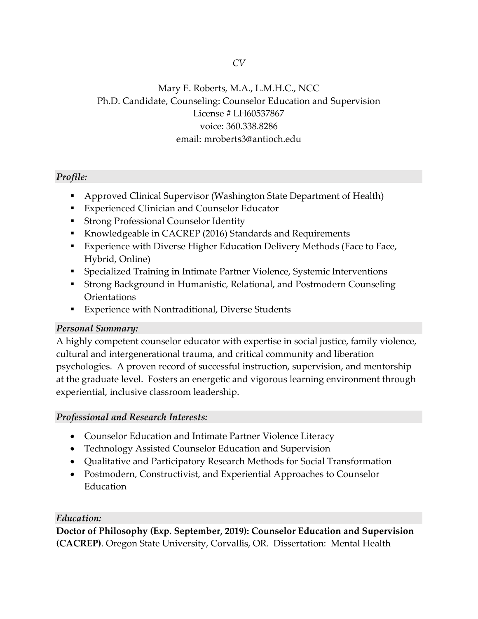# Mary E. Roberts, M.A., L.M.H.C., NCC Ph.D. Candidate, Counseling: Counselor Education and Supervision License # LH60537867 voice: 360.338.8286 email: mroberts3@antioch.edu

## *Profile:*

- Approved Clinical Supervisor (Washington State Department of Health)
- Experienced Clinician and Counselor Educator
- Strong Professional Counselor Identity
- Knowledgeable in CACREP (2016) Standards and Requirements
- **Experience with Diverse Higher Education Delivery Methods (Face to Face,** Hybrid, Online)
- Specialized Training in Intimate Partner Violence, Systemic Interventions
- Strong Background in Humanistic, Relational, and Postmodern Counseling **Orientations**
- **Experience with Nontraditional, Diverse Students**

## *Personal Summary:*

A highly competent counselor educator with expertise in social justice, family violence, cultural and intergenerational trauma, and critical community and liberation psychologies. A proven record of successful instruction, supervision, and mentorship at the graduate level. Fosters an energetic and vigorous learning environment through experiential, inclusive classroom leadership.

## *Professional and Research Interests:*

- Counselor Education and Intimate Partner Violence Literacy
- Technology Assisted Counselor Education and Supervision
- Qualitative and Participatory Research Methods for Social Transformation
- Postmodern, Constructivist, and Experiential Approaches to Counselor Education

## *Education:*

**Doctor of Philosophy (Exp. September, 2019): Counselor Education and Supervision (CACREP)**. Oregon State University, Corvallis, OR. Dissertation: Mental Health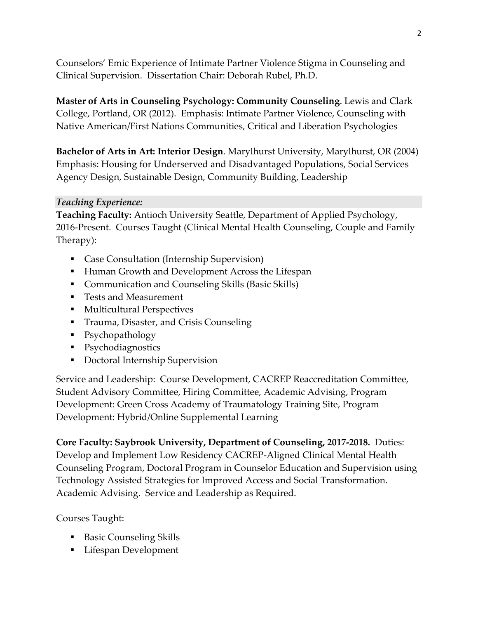Counselors' Emic Experience of Intimate Partner Violence Stigma in Counseling and Clinical Supervision. Dissertation Chair: Deborah Rubel, Ph.D.

**Master of Arts in Counseling Psychology: Community Counseling**. Lewis and Clark College, Portland, OR (2012). Emphasis: Intimate Partner Violence, Counseling with Native American/First Nations Communities, Critical and Liberation Psychologies

**Bachelor of Arts in Art: Interior Design**. Marylhurst University, Marylhurst, OR (2004) Emphasis: Housing for Underserved and Disadvantaged Populations, Social Services Agency Design, Sustainable Design, Community Building, Leadership

## *Teaching Experience:*

**Teaching Faculty:** Antioch University Seattle, Department of Applied Psychology, 2016-Present. Courses Taught (Clinical Mental Health Counseling, Couple and Family Therapy):

- Case Consultation (Internship Supervision)
- Human Growth and Development Across the Lifespan
- Communication and Counseling Skills (Basic Skills)
- Tests and Measurement
- **Multicultural Perspectives**
- **Trauma, Disaster, and Crisis Counseling**
- Psychopathology
- Psychodiagnostics
- **•** Doctoral Internship Supervision

Service and Leadership: Course Development, CACREP Reaccreditation Committee, Student Advisory Committee, Hiring Committee, Academic Advising, Program Development: Green Cross Academy of Traumatology Training Site, Program Development: Hybrid/Online Supplemental Learning

**Core Faculty: Saybrook University, Department of Counseling, 2017-2018.** Duties: Develop and Implement Low Residency CACREP-Aligned Clinical Mental Health Counseling Program, Doctoral Program in Counselor Education and Supervision using Technology Assisted Strategies for Improved Access and Social Transformation. Academic Advising. Service and Leadership as Required.

Courses Taught:

- Basic Counseling Skills
- **Lifespan Development**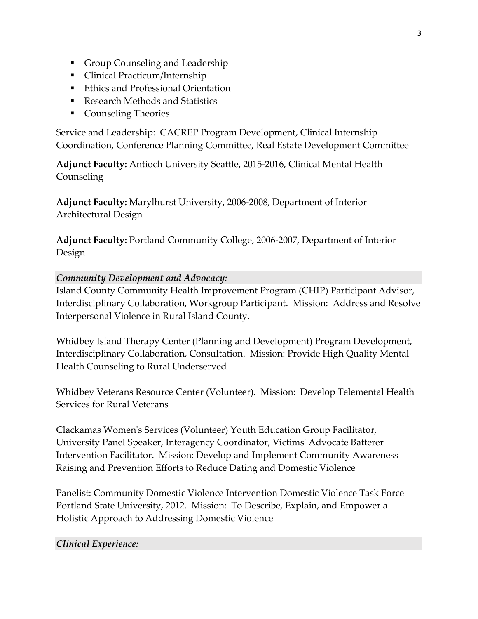- Group Counseling and Leadership
- Clinical Practicum/Internship
- **Ethics and Professional Orientation**
- Research Methods and Statistics
- Counseling Theories

Service and Leadership: CACREP Program Development, Clinical Internship Coordination, Conference Planning Committee, Real Estate Development Committee

**Adjunct Faculty:** Antioch University Seattle, 2015-2016, Clinical Mental Health Counseling

**Adjunct Faculty:** Marylhurst University, 2006-2008, Department of Interior Architectural Design

**Adjunct Faculty:** Portland Community College, 2006-2007, Department of Interior Design

## *Community Development and Advocacy:*

Island County Community Health Improvement Program (CHIP) Participant Advisor, Interdisciplinary Collaboration, Workgroup Participant. Mission: Address and Resolve Interpersonal Violence in Rural Island County.

Whidbey Island Therapy Center (Planning and Development) Program Development, Interdisciplinary Collaboration, Consultation. Mission: Provide High Quality Mental Health Counseling to Rural Underserved

Whidbey Veterans Resource Center (Volunteer). Mission: Develop Telemental Health Services for Rural Veterans

Clackamas Women's Services (Volunteer) Youth Education Group Facilitator, University Panel Speaker, Interagency Coordinator, Victims' Advocate Batterer Intervention Facilitator. Mission: Develop and Implement Community Awareness Raising and Prevention Efforts to Reduce Dating and Domestic Violence

Panelist: Community Domestic Violence Intervention Domestic Violence Task Force Portland State University, 2012. Mission: To Describe, Explain, and Empower a Holistic Approach to Addressing Domestic Violence

## *Clinical Experience:*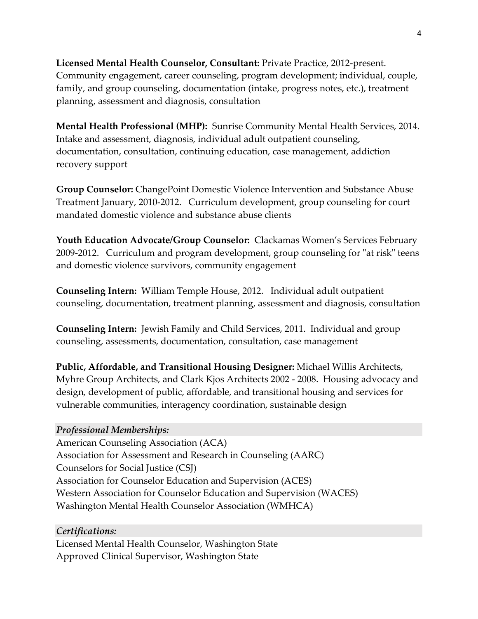**Licensed Mental Health Counselor, Consultant:** Private Practice, 2012-present. Community engagement, career counseling, program development; individual, couple, family, and group counseling, documentation (intake, progress notes, etc.), treatment planning, assessment and diagnosis, consultation

**Mental Health Professional (MHP):** Sunrise Community Mental Health Services, 2014. Intake and assessment, diagnosis, individual adult outpatient counseling, documentation, consultation, continuing education, case management, addiction recovery support

**Group Counselor:** ChangePoint Domestic Violence Intervention and Substance Abuse Treatment January, 2010-2012. Curriculum development, group counseling for court mandated domestic violence and substance abuse clients

**Youth Education Advocate/Group Counselor:** Clackamas Women's Services February 2009-2012. Curriculum and program development, group counseling for "at risk" teens and domestic violence survivors, community engagement

**Counseling Intern:** William Temple House, 2012. Individual adult outpatient counseling, documentation, treatment planning, assessment and diagnosis, consultation

**Counseling Intern:** Jewish Family and Child Services, 2011. Individual and group counseling, assessments, documentation, consultation, case management

**Public, Affordable, and Transitional Housing Designer:** Michael Willis Architects, Myhre Group Architects, and Clark Kjos Architects 2002 - 2008. Housing advocacy and design, development of public, affordable, and transitional housing and services for vulnerable communities, interagency coordination, sustainable design

### *Professional Memberships:*

American Counseling Association (ACA) Association for Assessment and Research in Counseling (AARC) Counselors for Social Justice (CSJ) Association for Counselor Education and Supervision (ACES) Western Association for Counselor Education and Supervision (WACES) Washington Mental Health Counselor Association (WMHCA)

### *Certifications:*

Licensed Mental Health Counselor, Washington State Approved Clinical Supervisor, Washington State